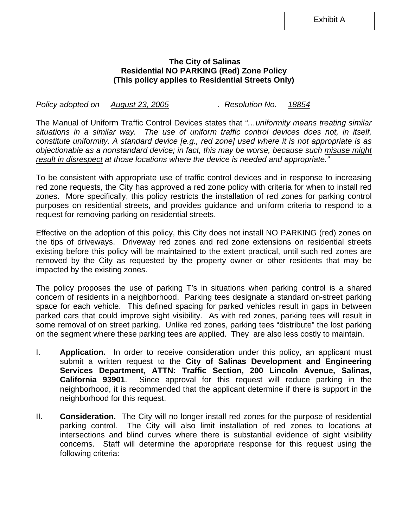Exhibit A

## **The City of Salinas Residential NO PARKING (Red) Zone Policy (This policy applies to Residential Streets Only)**

*Policy adopted on \_\_August 23, 2005\_\_\_\_\_\_\_\_\_\_\_\_. Resolution No. \_\_18854\_\_\_\_\_\_\_\_\_* 

The Manual of Uniform Traffic Control Devices states that *"…uniformity means treating similar situations in a similar way. The use of uniform traffic control devices does not, in itself, constitute uniformity. A standard device [e.g., red zone] used where it is not appropriate is as objectionable as a nonstandard device; in fact, this may be worse, because such misuse might result in disrespect at those locations where the device is needed and appropriate."* 

To be consistent with appropriate use of traffic control devices and in response to increasing red zone requests, the City has approved a red zone policy with criteria for when to install red zones. More specifically, this policy restricts the installation of red zones for parking control purposes on residential streets, and provides guidance and uniform criteria to respond to a request for removing parking on residential streets.

Effective on the adoption of this policy, this City does not install NO PARKING (red) zones on the tips of driveways. Driveway red zones and red zone extensions on residential streets existing before this policy will be maintained to the extent practical, until such red zones are removed by the City as requested by the property owner or other residents that may be impacted by the existing zones.

The policy proposes the use of parking T's in situations when parking control is a shared concern of residents in a neighborhood. Parking tees designate a standard on-street parking space for each vehicle. This defined spacing for parked vehicles result in gaps in between parked cars that could improve sight visibility. As with red zones, parking tees will result in some removal of on street parking. Unlike red zones, parking tees "distribute" the lost parking on the segment where these parking tees are applied. They are also less costly to maintain.

- I. **Application.** In order to receive consideration under this policy, an applicant must submit a written request to the **City of Salinas Development and Engineering Services Department, ATTN: Traffic Section, 200 Lincoln Avenue, Salinas, California 93901**. Since approval for this request will reduce parking in the neighborhood, it is recommended that the applicant determine if there is support in the neighborhood for this request.
- II. **Consideration.** The City will no longer install red zones for the purpose of residential parking control. The City will also limit installation of red zones to locations at intersections and blind curves where there is substantial evidence of sight visibility concerns. Staff will determine the appropriate response for this request using the following criteria: